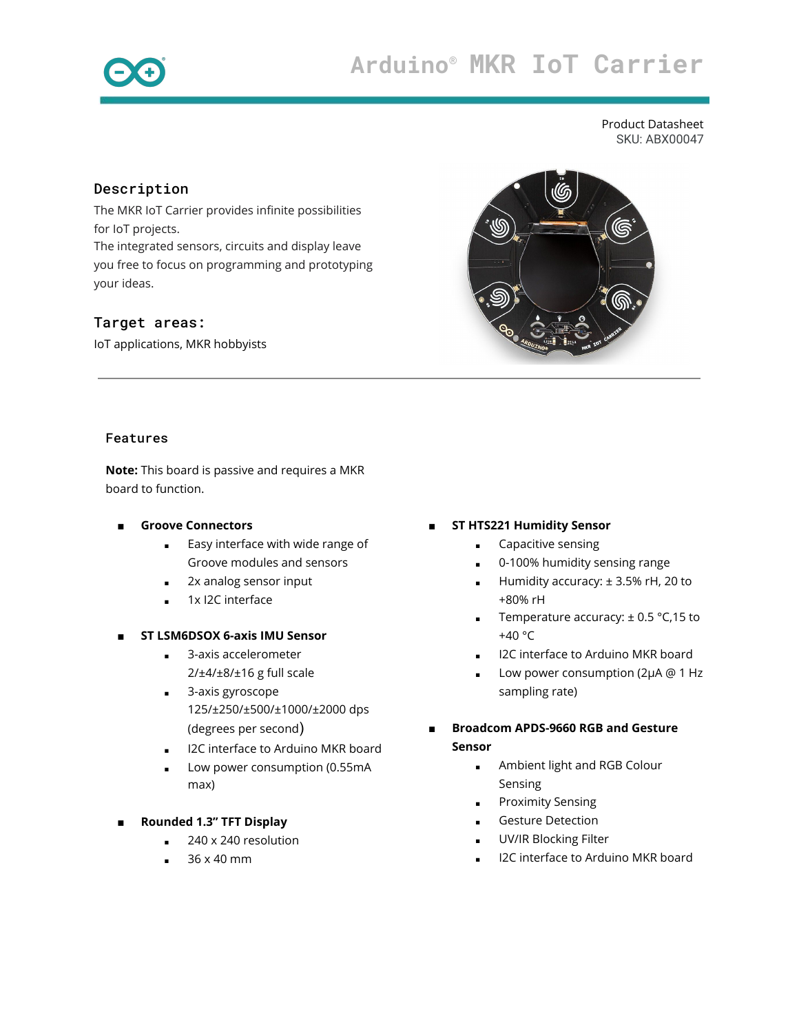# **Arduino® MKR IoT Carrier**

#### Product Datasheet SKU: ABX00047

#### Description

The MKR IoT Carrier provides infinite possibilities for IoT projects.

The integrated sensors, circuits and display leave you free to focus on programming and prototyping your ideas.

#### Target areas:

IoT applications, MKR hobbyists



#### Features

**Note:** This board is passive and requires a MKR board tofunction.

- **■ Groove Connectors**
	- Easy interface with wide range of Groove modules and sensors
	- 2x analog sensor input
	- 1x I2C interface

#### **■ ST LSM6DSOX 6-axis IMU Sensor**

- 3-axis accelerometer 2/±4/±8/±16 g full scale
- 3-axis gyroscope 125/±250/±500/±1000/±2000 dps (degrees per second)
- I2C interface to Arduino MKR board
- Low power consumption (0.55mA max)
- **■ Rounded 1.3" TFT Display**
	- 240 x 240 resolution
	- 36 x 40 mm
- **■ ST HTS221 Humidity Sensor**
	- Capacitive sensing
	- 0-100% humidity sensing range
	- Humidity accuracy: ±3.5% rH, 20 to +80% rH
	- **•** Temperature accuracy:  $\pm$  0.5 °C, 15 to +40 °C
	- **■** I2C interface to Arduino MKR board
	- Low power consumption (2μA @ 1 Hz sampling rate)
- **■ Broadcom APDS-9660 RGB and Gesture Sensor**
	- **■** Ambient light and RGB Colour Sensing
		- Proximity Sensing
	- Gesture Detection
	- **UV/IR Blocking Filter**
	- **■** I2C interface to Arduino MKR board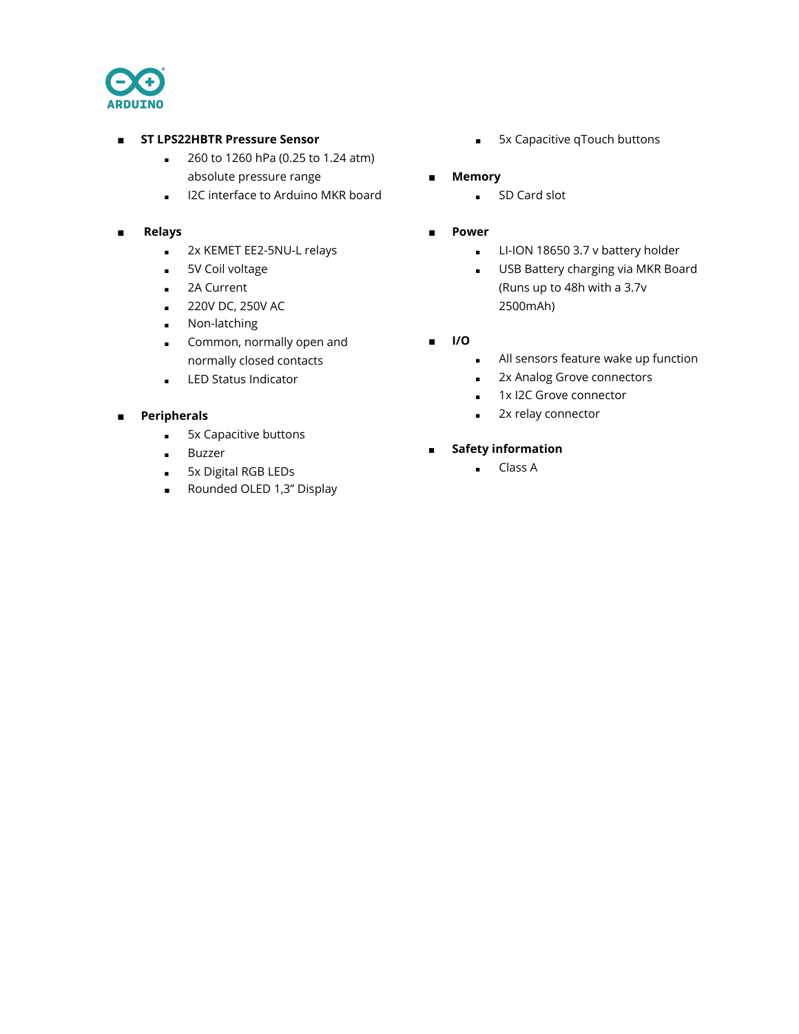

#### **■ ST LPS22HBTR Pressure Sensor**

- 260 to 1260 hPa (0.25 to 1.24 atm) absolute pressure range
- **■** I2C interface to Arduino MKR board
- **■ Relays**
	- 2xKEMET EE2-5NU-L relays
	- 5V Coil voltage
	- 2A Current
	- 220V DC, 250V AC
	- Non-latching
	- Common, normally open and normally closed contacts
	- LED Status Indicator
- **■ Peripherals**
	- **■** 5x Capacitive buttons
	- Buzzer
	- 5x Digital RGB LEDs
	- Rounded OLED 1,3" Display
- 5x Capacitive qTouch buttons
- **Memory**
	- SD Card slot
- **■ Power**
	- LI-ION 18650 3.7 v battery holder
	- **■** USB Battery charging via MKR Board (Runs up to 48h with a 3.7v 2500mAh)
- **■ I/O**
	- **■** All sensors feature wake up function
	- **■** 2x Analog Grove connectors
	- **■** 1x I2C Grove connector
	- **■** 2x relay connector
- **■ Safety information**
	- Class A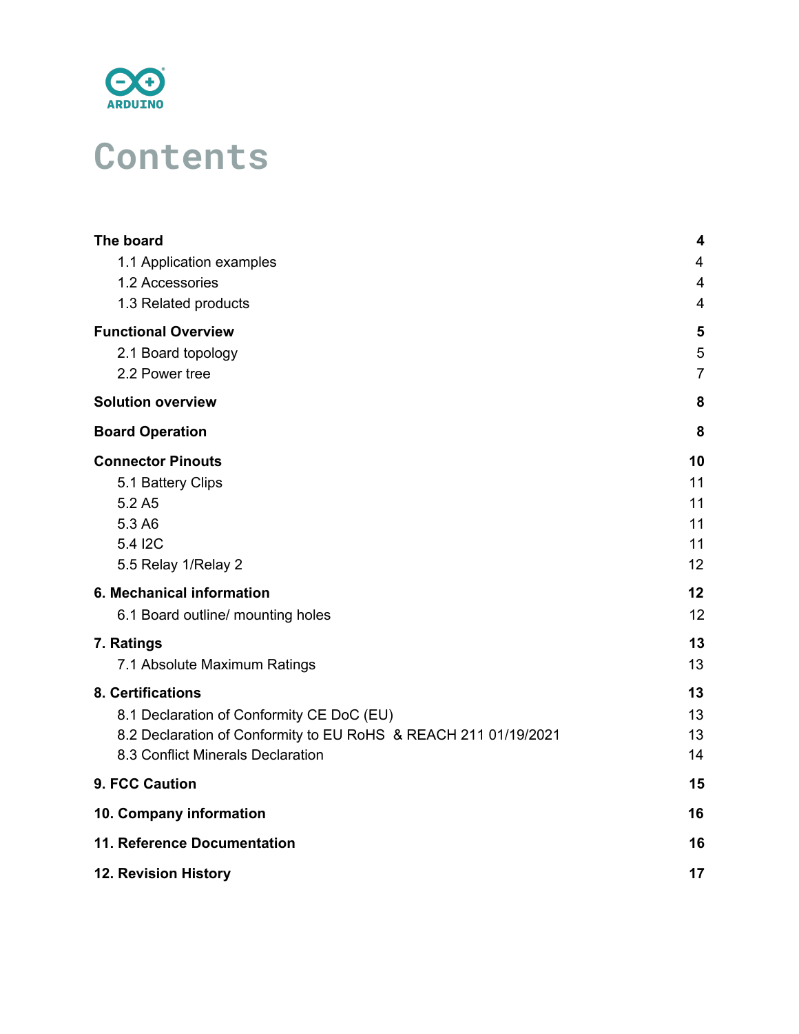

# **Contents**

| The board                                                       | 4                       |
|-----------------------------------------------------------------|-------------------------|
| 1.1 Application examples                                        | 4                       |
| 1.2 Accessories                                                 | $\overline{\mathbf{4}}$ |
| 1.3 Related products                                            | $\overline{4}$          |
| <b>Functional Overview</b>                                      | 5                       |
| 2.1 Board topology                                              | 5                       |
| 2.2 Power tree                                                  | $\overline{7}$          |
| <b>Solution overview</b>                                        | 8                       |
| <b>Board Operation</b>                                          | 8                       |
| <b>Connector Pinouts</b>                                        | 10                      |
| 5.1 Battery Clips                                               | 11                      |
| 5.2 A <sub>5</sub>                                              | 11                      |
| 5.3 A6                                                          | 11                      |
| 5.4 I2C                                                         | 11                      |
| 5.5 Relay 1/Relay 2                                             | 12                      |
| 6. Mechanical information                                       | 12                      |
| 6.1 Board outline/ mounting holes                               | 12                      |
| 7. Ratings                                                      | 13                      |
| 7.1 Absolute Maximum Ratings                                    | 13                      |
| 8. Certifications                                               | 13                      |
| 8.1 Declaration of Conformity CE DoC (EU)                       | 13                      |
| 8.2 Declaration of Conformity to EU RoHS & REACH 211 01/19/2021 | 13                      |
| 8.3 Conflict Minerals Declaration                               | 14                      |
| 9. FCC Caution                                                  | 15                      |
| 10. Company information                                         | 16                      |
| <b>11. Reference Documentation</b>                              | 16                      |
| 12. Revision History                                            | 17                      |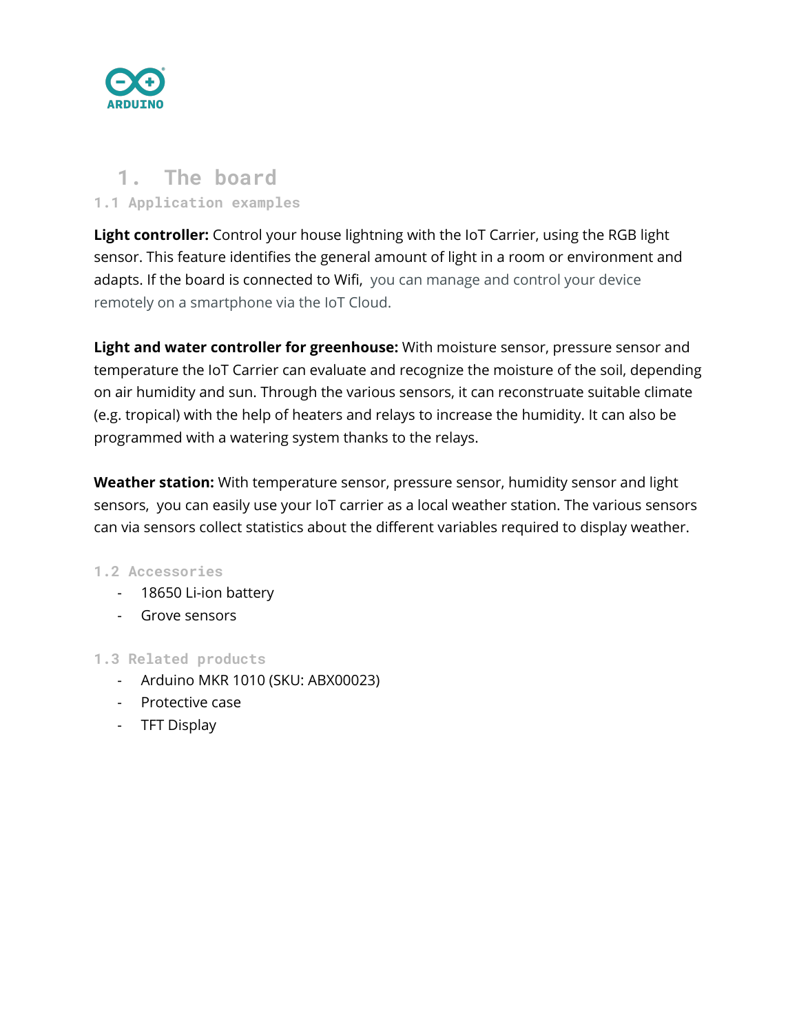

# <span id="page-3-1"></span><span id="page-3-0"></span>**1. The board 1.1 Application examples**

**Light controller:** Control your house lightning with the IoT Carrier, using the RGB light sensor. This feature identifies the general amount of light in a room or environment and adapts. If the board is connected to Wifi, you can manage and control your device remotely on a smartphone via the IoT Cloud.

**Light and water controller for greenhouse:** With moisture sensor, pressure sensor and temperature the IoT Carrier can evaluate and recognize the moisture of the soil, depending on air humidity and sun. Through the various sensors, it can reconstruate suitable climate (e.g. tropical) with the help of heaters and relays to increase the humidity. It can also be programmed with a watering system thanks to the relays.

**Weather station:** With temperature sensor, pressure sensor, humidity sensor and light sensors, you can easily use your IoT carrier as a local weather station. The various sensors can via sensors collect statistics about the different variables required to display weather.

#### <span id="page-3-2"></span>**1.2 Accessories**

- 18650 Li-ion battery
- Grove sensors

#### <span id="page-3-3"></span>**1.3 Related products**

- Arduino MKR 1010 (SKU: ABX00023)
- Protective case
- TFT Display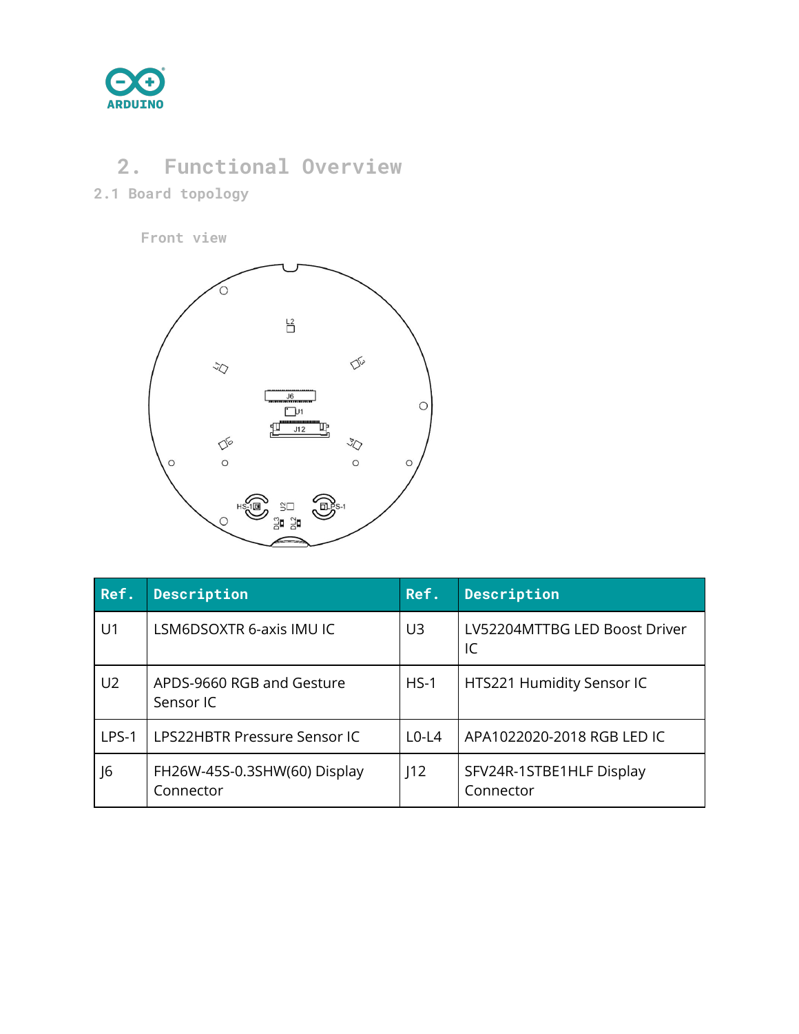

# <span id="page-4-0"></span>**2. Functional Overview**

### <span id="page-4-1"></span>**2.1 Board topology**

**Front view**



| Ref.           | <b>Description</b>                        | Ref.    | Description                           |
|----------------|-------------------------------------------|---------|---------------------------------------|
| U1             | LSM6DSOXTR 6-axis IMU IC                  | U3      | LV52204MTTBG LED Boost Driver<br>IC   |
| U <sub>2</sub> | APDS-9660 RGB and Gesture<br>Sensor IC    | $HS-1$  | HTS221 Humidity Sensor IC             |
| LPS-1          | LPS22HBTR Pressure Sensor IC              | $L0-L4$ | APA1022020-2018 RGB LED IC            |
| J6             | FH26W-45S-0.3SHW(60) Display<br>Connector | J12     | SFV24R-1STBE1HLF Display<br>Connector |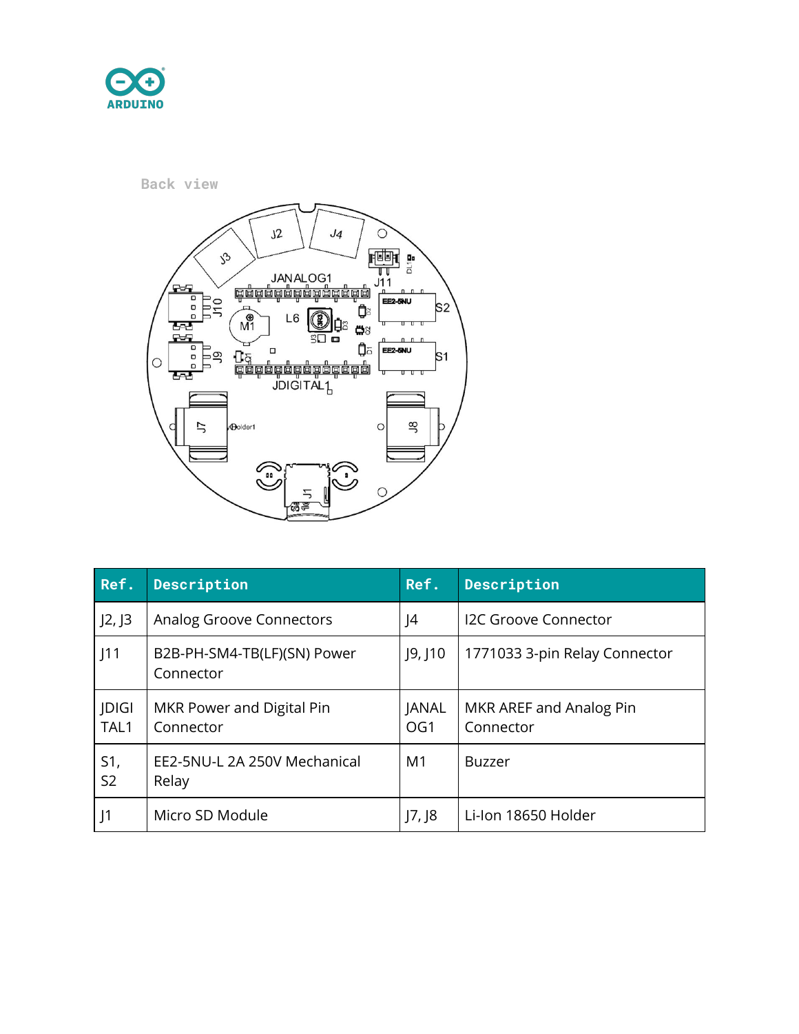

**Back view**



| Ref.                  | Description                              | Ref.                            | Description                          |
|-----------------------|------------------------------------------|---------------------------------|--------------------------------------|
| J2, J3                | Analog Groove Connectors                 | 4                               | I2C Groove Connector                 |
| J11                   | B2B-PH-SM4-TB(LF)(SN) Power<br>Connector | J9, J10                         | 1771033 3-pin Relay Connector        |
| <b>JDIGI</b><br>TAL1  | MKR Power and Digital Pin<br>Connector   | <b>JANAL</b><br>OG <sub>1</sub> | MKR AREF and Analog Pin<br>Connector |
| S1,<br>S <sub>2</sub> | EE2-5NU-L 2A 250V Mechanical<br>Relay    | M1                              | <b>Buzzer</b>                        |
| J1                    | Micro SD Module                          | J7, J8                          | Li-Ion 18650 Holder                  |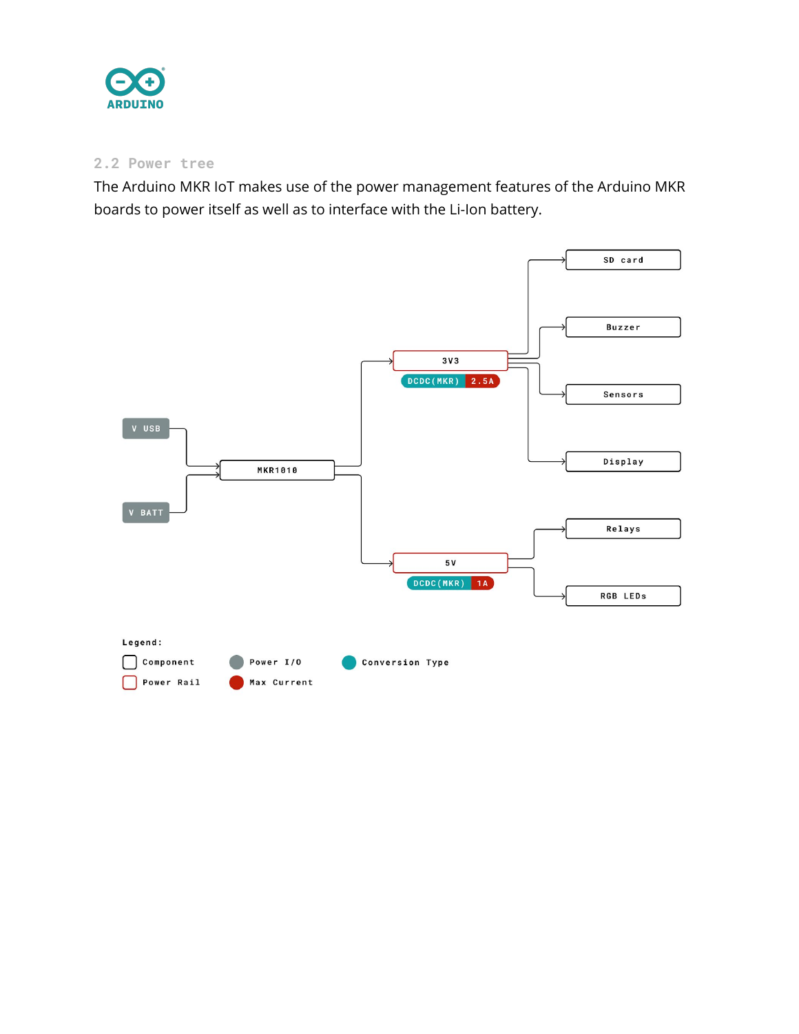

#### <span id="page-6-0"></span>**2.2 Power tree**

The Arduino MKR IoT makes use of the power management features of the Arduino MKR boards to power itself as well as to interface with the Li-Ion battery.

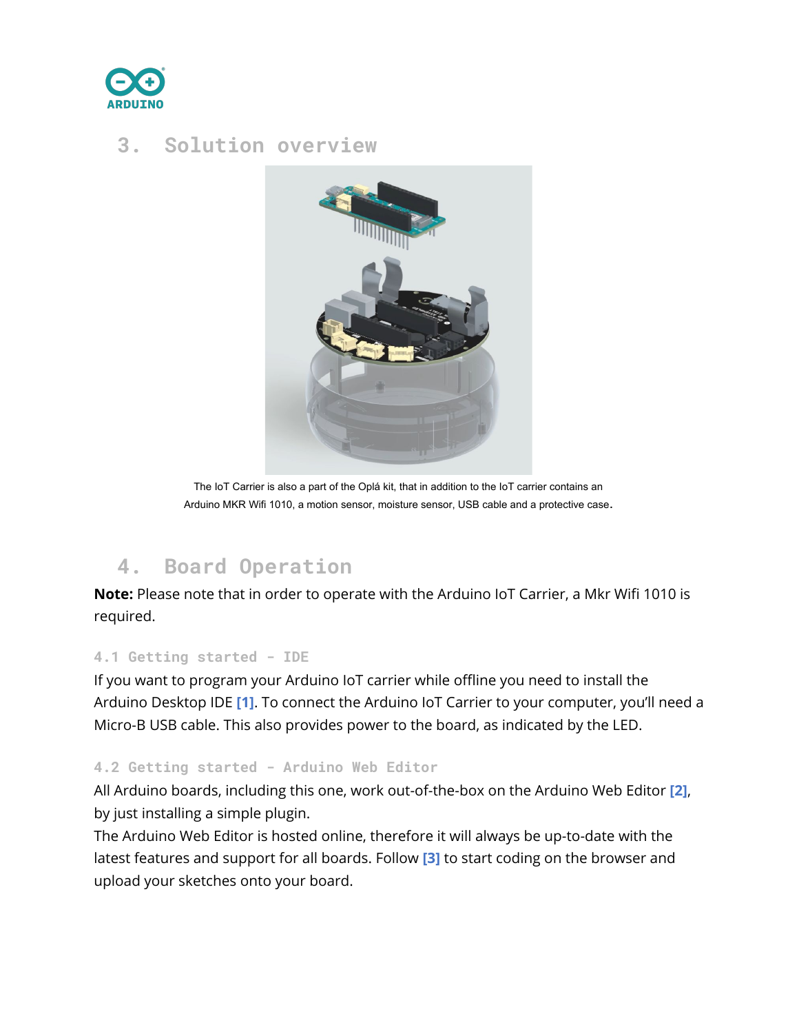

## <span id="page-7-0"></span>**3. Solution overview**



The IoT Carrier is also a part of the Oplá kit, that in addition to the IoT carrier contains an Arduino MKR Wifi 1010, a motion sensor, moisture sensor, USB cable and a protective case.

# <span id="page-7-1"></span>**4. Board Operation**

**Note:** Please note that in order to operate with the Arduino IoT Carrier, a Mkr Wifi 1010 is required.

#### **4.1 Getting started - IDE**

If you want to program your Arduino IoT carrier while offline you need to install the Arduino Desktop IDE **[1]**. To connect the Arduino IoT Carrier to your computer, you'll need a Micro-B USB cable. This also provides power to the board, as indicated by the LED.

#### **4.2 Getting started - Arduino Web Editor**

All Arduino boards, including this one, work out-of-the-box on the Arduino Web Editor **[2]**, by just installing a simple plugin.

The Arduino Web Editor is hosted online, therefore it will always be up-to-date with the latest features and support for all boards. Follow **[3]** to start coding on the browser and upload your sketches onto your board.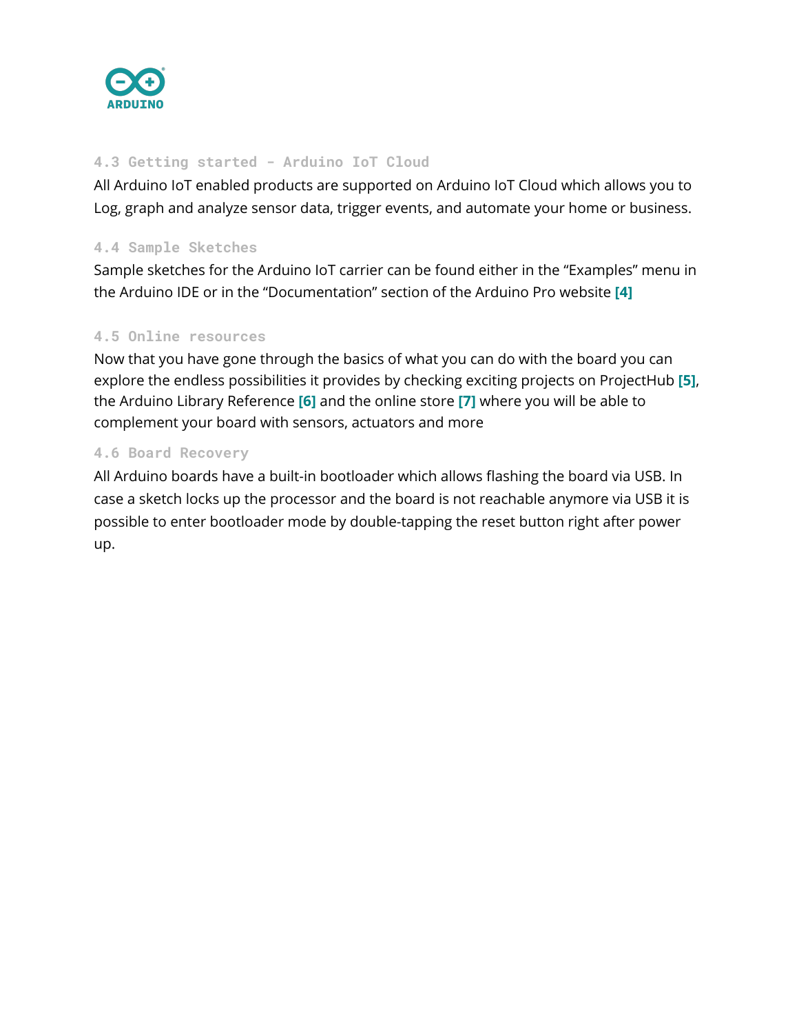

#### **4.3 Getting started - Arduino IoT Cloud**

All Arduino IoT enabled products are supported on Arduino IoT Cloud which allows you to Log, graph and analyze sensor data, trigger events, and automate your home or business.

#### **4.4 Sample Sketches**

Sample sketches for the Arduino IoT carrier can be found either in the "Examples" menu in the Arduino IDE or in the "Documentation" section of the Arduino Pro website **[4]**

#### **4.5 Online resources**

Now that you have gone through the basics of what you can do with the board you can explore the endless possibilities it provides by checking exciting projects on ProjectHub **[5]**, the Arduino Library Reference **[6]** and the online store **[7]** where you will be able to complement your board with sensors, actuators and more

#### **4.6 Board Recovery**

All Arduino boards have a built-in bootloader which allows flashing the board via USB. In case a sketch locks up the processor and the board is not reachable anymore via USB it is possible to enter bootloader mode by double-tapping the reset button right after power up.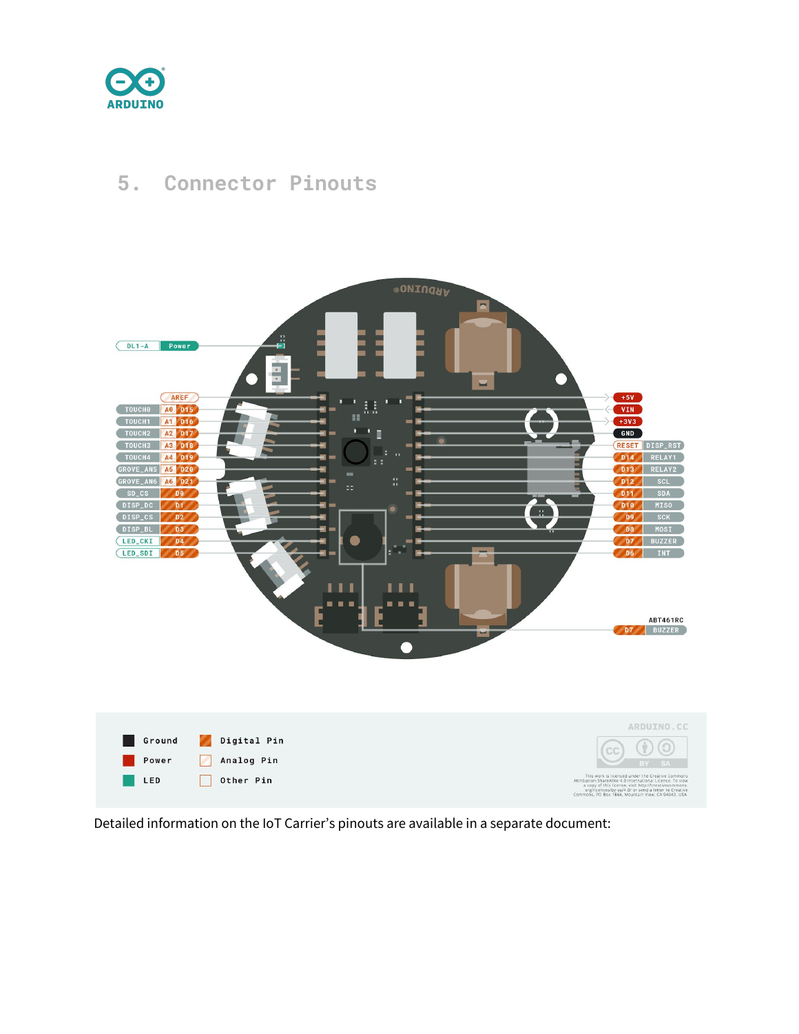

# <span id="page-9-0"></span>**5. Connector Pinouts**



Detailed information on the IoT Carrier's pinouts are available in a separate document: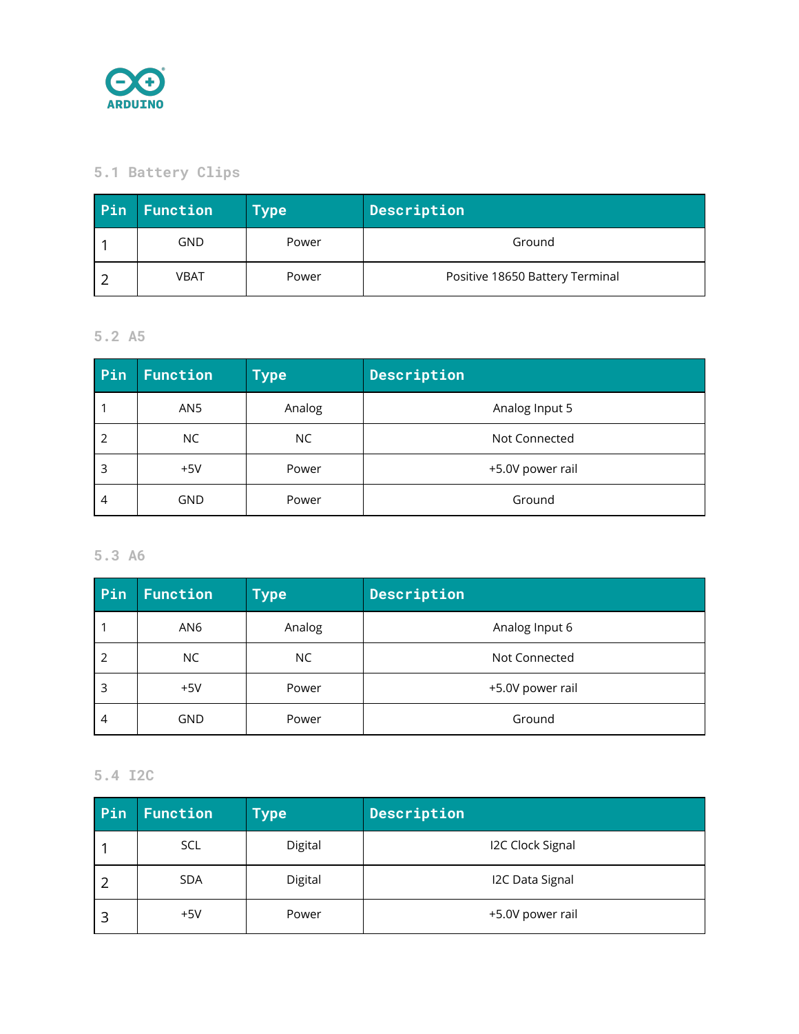

### <span id="page-10-0"></span>**5.1 Battery Clips**

| Pin | Function | <b>Type</b> | Description                     |
|-----|----------|-------------|---------------------------------|
|     | GND      | Power       | Ground                          |
|     | VBAT     | Power       | Positive 18650 Battery Terminal |

#### <span id="page-10-1"></span>**5.2 A5**

| Pin | <b>Function</b> | <b>Type</b> | Description      |
|-----|-----------------|-------------|------------------|
|     | AN5             | Analog      | Analog Input 5   |
| 2   | NC.             | NC.         | Not Connected    |
| 3   | $+5V$           | Power       | +5.0V power rail |
| 4   | <b>GND</b>      | Power       | Ground           |

#### <span id="page-10-2"></span>**5.3 A6**

| Pin            | <b>Function</b> | <b>Type</b> | Description      |
|----------------|-----------------|-------------|------------------|
|                | AN <sub>6</sub> | Analog      | Analog Input 6   |
| $\overline{2}$ | NC.             | NC.         | Not Connected    |
| 3              | $+5V$           | Power       | +5.0V power rail |
| 4              | <b>GND</b>      | Power       | Ground           |

#### <span id="page-10-3"></span>**5.4 I2C**

| Pin | <b>Function</b> | <b>Type</b> | Description      |
|-----|-----------------|-------------|------------------|
|     | SCL             | Digital     | I2C Clock Signal |
|     | <b>SDA</b>      | Digital     | I2C Data Signal  |
| 3   | $+5V$           | Power       | +5.0V power rail |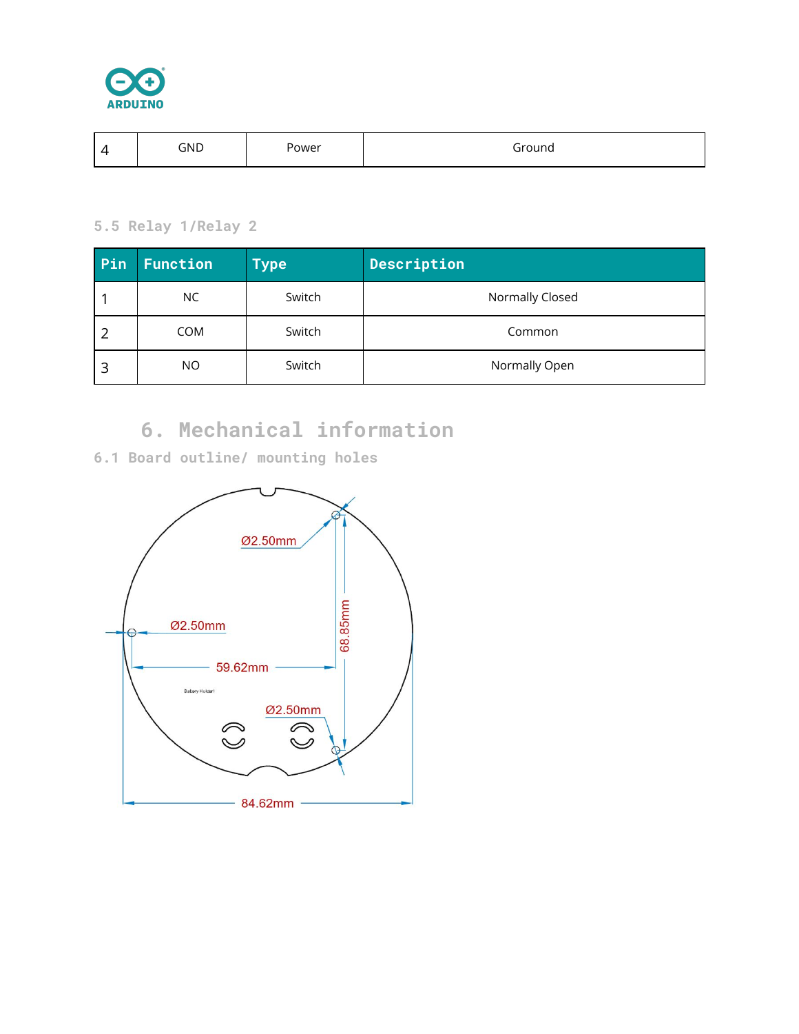

| GND<br>Power<br>`round<br>. . |
|-------------------------------|
|-------------------------------|

#### <span id="page-11-0"></span>**5.5 Relay 1/Relay 2**

| Pin | Function   | <b>Type</b> | Description     |
|-----|------------|-------------|-----------------|
|     | NC.        | Switch      | Normally Closed |
| 2   | <b>COM</b> | Switch      | Common          |
| 3   | NO.        | Switch      | Normally Open   |

# <span id="page-11-1"></span>**6. Mechanical information**

<span id="page-11-2"></span>**6.1 Board outline/ mounting holes**

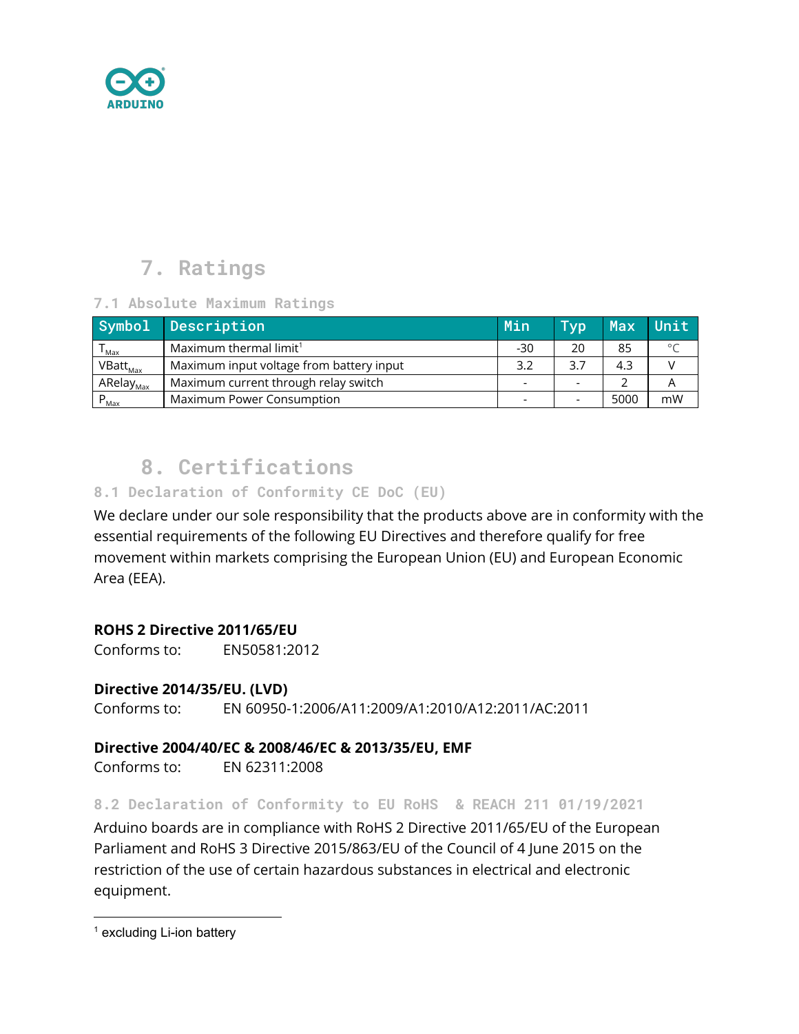

# <span id="page-12-0"></span>**7. Ratings**

#### <span id="page-12-1"></span>**7.1 Absolute Maximum Ratings**

|                             | Symbol Description                       | Min   | <b>Typ</b> | <b>Max</b> | Unit    |
|-----------------------------|------------------------------------------|-------|------------|------------|---------|
| $\mathsf{I}_{\mathsf{Max}}$ | Maximum thermal limit <sup>1</sup>       | $-30$ | 20         | 85         | $\circ$ |
| VBatt <sub>Max</sub>        | Maximum input voltage from battery input | 3.2   | 3.7        | 4.3        |         |
| ARelay <sub>Max</sub>       | Maximum current through relay switch     | -     |            |            |         |
| $P_{\text{Max}}$            | Maximum Power Consumption                | -     |            | 5000       | mW      |

# <span id="page-12-2"></span>**8. Certifications**

#### <span id="page-12-3"></span>**8.1 Declaration of Conformity CE DoC (EU)**

We declare under our sole responsibility that the products above are in conformity with the essential requirements of the following EU Directives and therefore qualify for free movement within markets comprising the European Union (EU) and European Economic Area (EEA).

#### **ROHS 2 Directive 2011/65/EU**

Conforms to: EN50581:2012

#### **Directive 2014/35/EU. (LVD)**

Conforms to: EN 60950-1:2006/A11:2009/A1:2010/A12:2011/AC:2011

#### **Directive 2004/40/EC & 2008/46/EC & 2013/35/EU, EMF**

Conforms to: EN 62311:2008

#### <span id="page-12-4"></span>**8.2 Declaration of Conformity to EU RoHS & REACH 211 01/19/2021**

Arduino boards are in compliance with RoHS 2 Directive 2011/65/EU of the European Parliament and RoHS 3 Directive 2015/863/EU of the Council of 4 June 2015 on the restriction of the use of certain hazardous substances in electrical and electronic equipment.

<sup>&</sup>lt;sup>1</sup> excluding Li-ion battery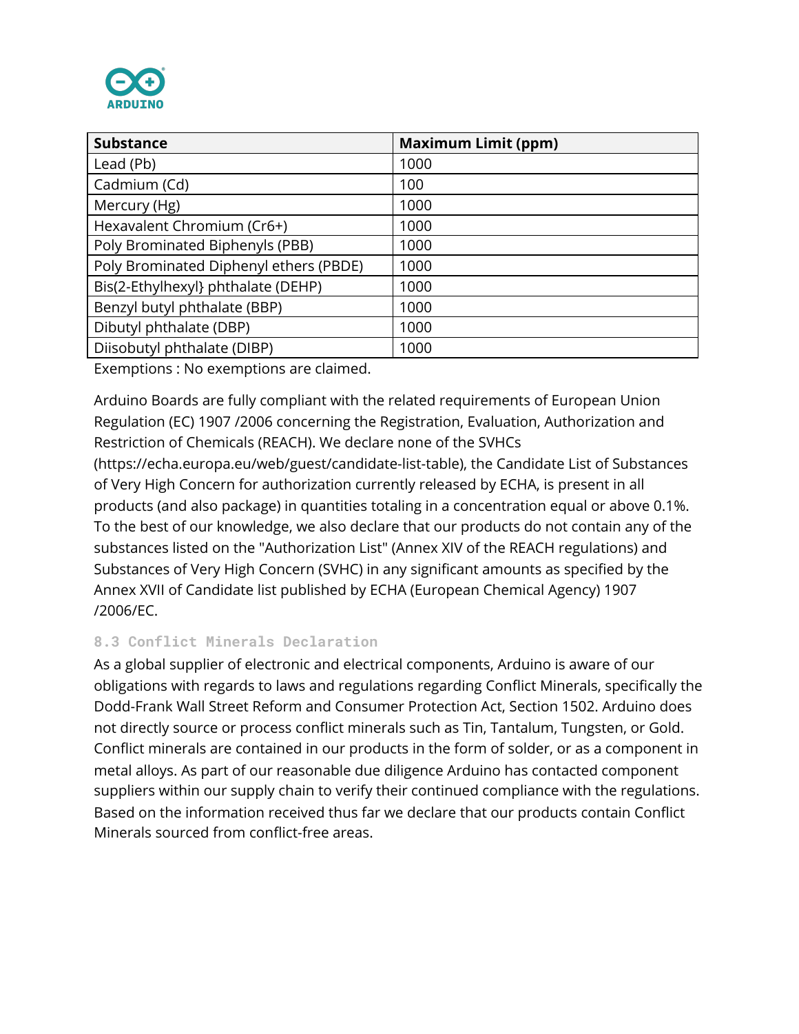

| <b>Substance</b>                       | <b>Maximum Limit (ppm)</b> |
|----------------------------------------|----------------------------|
| Lead (Pb)                              | 1000                       |
| Cadmium (Cd)                           | 100                        |
| Mercury (Hg)                           | 1000                       |
| Hexavalent Chromium (Cr6+)             | 1000                       |
| Poly Brominated Biphenyls (PBB)        | 1000                       |
| Poly Brominated Diphenyl ethers (PBDE) | 1000                       |
| Bis(2-Ethylhexyl} phthalate (DEHP)     | 1000                       |
| Benzyl butyl phthalate (BBP)           | 1000                       |
| Dibutyl phthalate (DBP)                | 1000                       |
| Diisobutyl phthalate (DIBP)            | 1000                       |

Exemptions : No exemptions are claimed.

Arduino Boards are fully compliant with the related requirements of European Union Regulation (EC) 1907 /2006 concerning the Registration, Evaluation, Authorization and Restriction of Chemicals (REACH). We declare none of the SVHCs

(https://echa.europa.eu/web/guest/candidate-list-table), the Candidate List of Substances of Very High Concern for authorization currently released by ECHA, is present in all products (and also package) in quantities totaling in a concentration equal or above 0.1%. To the best of our knowledge, we also declare that our products do not contain any of the substances listed on the "Authorization List" (Annex XIV of the REACH regulations) and Substances of Very High Concern (SVHC) in any significant amounts as specified by the Annex XVII of Candidate list published by ECHA (European Chemical Agency) 1907 /2006/EC.

#### <span id="page-13-0"></span>**8.3 Conflict Minerals Declaration**

As a global supplier of electronic and electrical components, Arduino is aware of our obligations with regards to laws and regulations regarding Conflict Minerals, specifically the Dodd-Frank Wall Street Reform and Consumer Protection Act, Section 1502. Arduino does not directly source or process conflict minerals such as Tin, Tantalum, Tungsten, or Gold. Conflict minerals are contained in our products in the form of solder, or as a component in metal alloys. As part of our reasonable due diligence Arduino has contacted component suppliers within our supply chain to verify their continued compliance with the regulations. Based on the information received thus far we declare that our products contain Conflict Minerals sourced from conflict-free areas.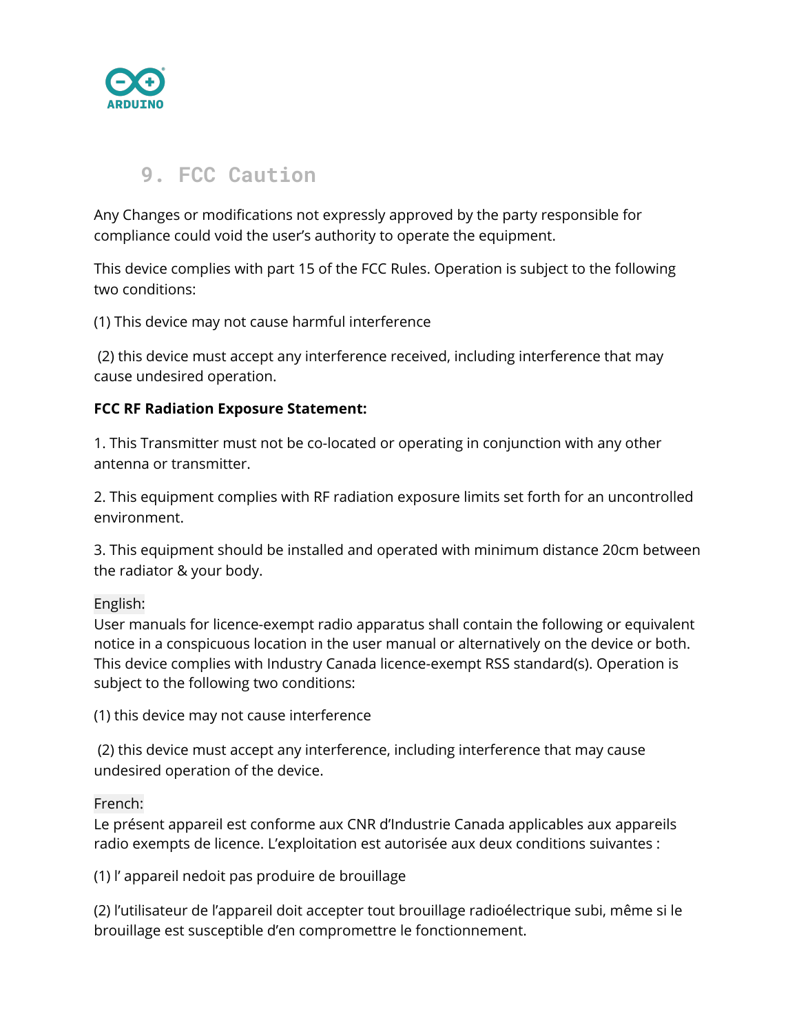

# **9. FCC Caution**

<span id="page-14-0"></span>Any Changes or modifications not expressly approved by the party responsible for compliance could void the user's authority to operate the equipment.

This device complies with part 15 of the FCC Rules. Operation is subject to the following two conditions:

(1) This device may not cause harmful interference

(2) this device must accept any interference received, including interference that may cause undesired operation.

#### **FCC RF Radiation Exposure Statement:**

1. This Transmitter must not be co-located or operating in conjunction with any other antenna or transmitter.

2. This equipment complies with RF radiation exposure limits set forth for an uncontrolled environment.

3. This equipment should be installed and operated with minimum distance 20cm between the radiator & your body.

#### English:

User manuals for licence-exempt radio apparatus shall contain the following or equivalent notice in a conspicuous location in the user manual or alternatively on the device or both. This device complies with Industry Canada licence-exempt RSS standard(s). Operation is subject to the following two conditions:

(1) this device may not cause interference

(2) this device must accept any interference, including interference that may cause undesired operation of the device.

#### French:

Le présent appareil est conforme aux CNR d'Industrie Canada applicables aux appareils radio exempts de licence. L'exploitation est autorisée aux deux conditions suivantes :

(1) l' appareil nedoit pas produire de brouillage

(2) l'utilisateur de l'appareil doit accepter tout brouillage radioélectrique subi, même si le brouillage est susceptible d'en compromettre le fonctionnement.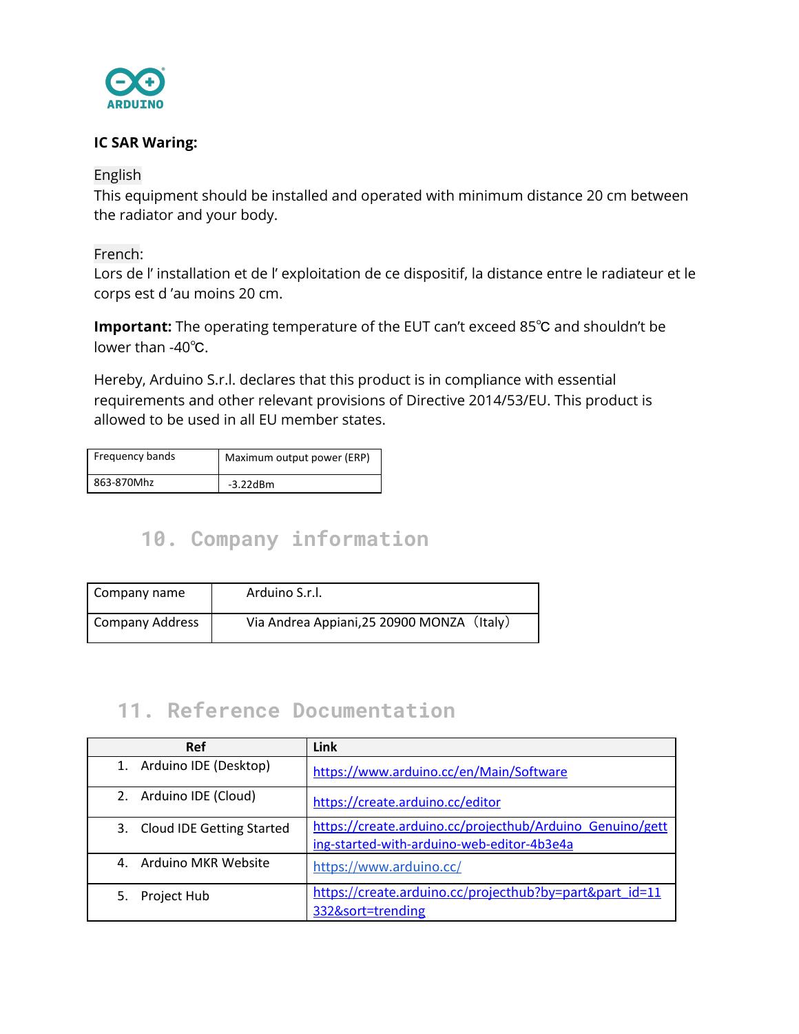

#### **IC SAR Waring:**

#### English

This equipment should be installed and operated with minimum distance 20 cm between the radiator and your body.

#### French:

Lors de l' installation et de l' exploitation de ce dispositif, la distance entre le radiateur et le corps est d 'au moins 20 cm.

**Important:** The operating temperature of the EUT can't exceed 85℃ and shouldn't be lower than -40℃.

Hereby, Arduino S.r.l. declares that this product is in compliance with essential requirements and other relevant provisions of Directive 2014/53/EU. This product is allowed to be used in all EU member states.

<span id="page-15-0"></span>

| Frequency bands | Maximum output power (ERP) |
|-----------------|----------------------------|
| 863-870Mhz      | $-3.22$ dBm                |

# **10. Company information**

| Company name    | Arduino S.r.l.                             |
|-----------------|--------------------------------------------|
| Company Address | Via Andrea Appiani, 25 20900 MONZA (Italy) |

## <span id="page-15-1"></span>**11. Reference Documentation**

| <b>Ref</b>                   | <b>Link</b>                                                                                             |
|------------------------------|---------------------------------------------------------------------------------------------------------|
| 1. Arduino IDE (Desktop)     | https://www.arduino.cc/en/Main/Software                                                                 |
| 2. Arduino IDE (Cloud)       | https://create.arduino.cc/editor                                                                        |
| 3. Cloud IDE Getting Started | https://create.arduino.cc/projecthub/Arduino Genuino/gett<br>ing-started-with-arduino-web-editor-4b3e4a |
| Arduino MKR Website<br>4.    | https://www.arduino.cc/                                                                                 |
| 5. Project Hub               | https://create.arduino.cc/projecthub?by=part∂_id=11<br>332&sort=trending                                |